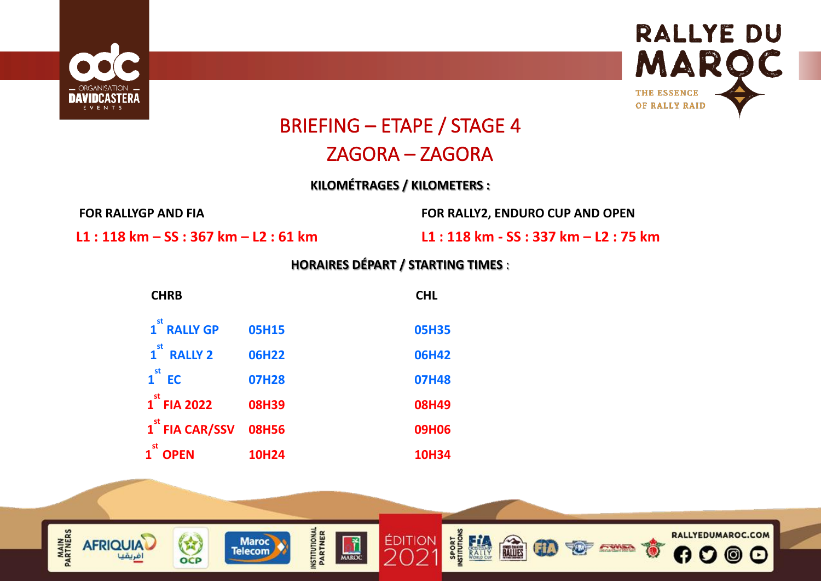



## BRIEFING – ETAPE / STAGE 4

### ZAGORA – ZAGORA

**KILOMÉTRAGES / KILOMETERS :**

**FOR RALLYGP AND FIA FOR RALLY2, ENDURO CUP AND OPEN** 

**L1 : 118 km – SS : 367 km – L2 : 61 km L1 : 118 km - SS : 337 km – L2 : 75 km**

### **HORAIRES DÉPART / STARTING TIMES** :

| <b>CHRB</b>                                  |              | <b>CHL</b>   |
|----------------------------------------------|--------------|--------------|
| 1 <sup>st</sup> RALLY GP                     | <b>05H15</b> | <b>05H35</b> |
| $\mathbf{1}^{\mathsf{st}}$<br><b>RALLY 2</b> | <b>06H22</b> | <b>06H42</b> |
| $1st$ EC                                     | <b>07H28</b> | <b>07H48</b> |
| $1st$ FIA 2022                               | <b>08H39</b> | <b>08H49</b> |
| 1 <sup>st</sup> FIA CAR/SSV                  | <b>08H56</b> | <b>09H06</b> |
| st<br><b>OPEN</b>                            | <b>10H24</b> | <b>10H34</b> |

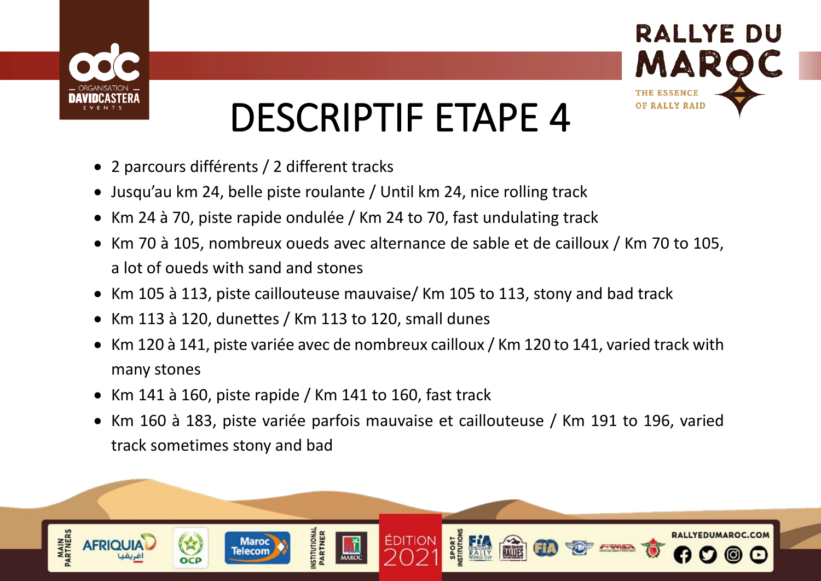



## DESCRIPTIF ETAPE 4

- 2 parcours différents / 2 different tracks
- Jusqu'au km 24, belle piste roulante / Until km 24, nice rolling track
- Km 24 à 70, piste rapide ondulée / Km 24 to 70, fast undulating track
- Km 70 à 105, nombreux oueds avec alternance de sable et de cailloux / Km 70 to 105, a lot of oueds with sand and stones
- Km 105 à 113, piste caillouteuse mauvaise/ Km 105 to 113, stony and bad track
- Km 113 à 120, dunettes / Km 113 to 120, small dunes
- Km 120 à 141, piste variée avec de nombreux cailloux / Km 120 to 141, varied track with many stones
- Km 141 à 160, piste rapide / Km 141 to 160, fast track
- Km 160 à 183, piste variée parfois mauvaise et caillouteuse / Km 191 to 196, varied track sometimes stony and bad

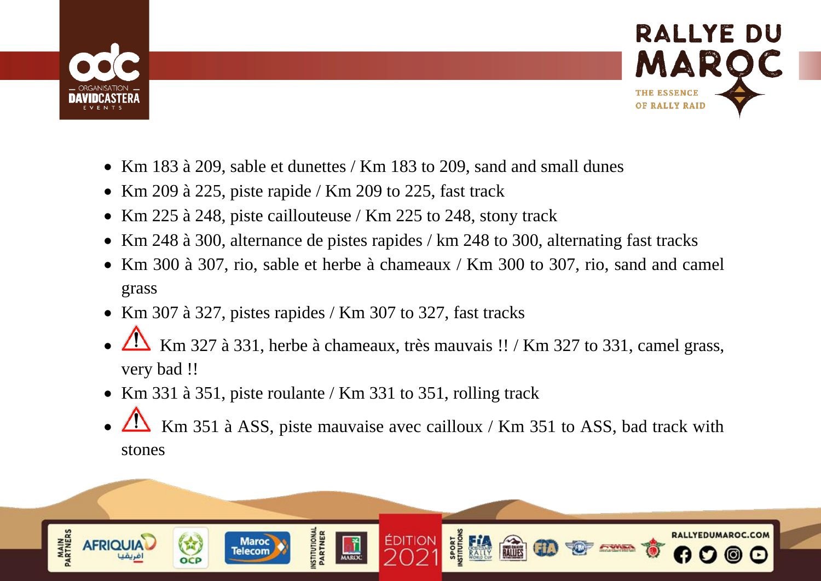



- Km 183 à 209, sable et dunettes / Km 183 to 209, sand and small dunes
- Km 209 à 225, piste rapide / Km 209 to 225, fast track
- Km 225 à 248, piste caillouteuse / Km 225 to 248, stony track
- Km 248 à 300, alternance de pistes rapides / km 248 to 300, alternating fast tracks
- Km 300 à 307, rio, sable et herbe à chameaux / Km 300 to 307, rio, sand and camel grass
- Km 307 à 327, pistes rapides / Km 307 to 327, fast tracks
- Km 327 à 331, herbe à chameaux, très mauvais !! / Km 327 to 331, camel grass, very bad !!
- Km 331 à 351, piste roulante / Km 331 to 351, rolling track
- Km 351 à ASS, piste mauvaise avec cailloux / Km 351 to ASS, bad track with stones

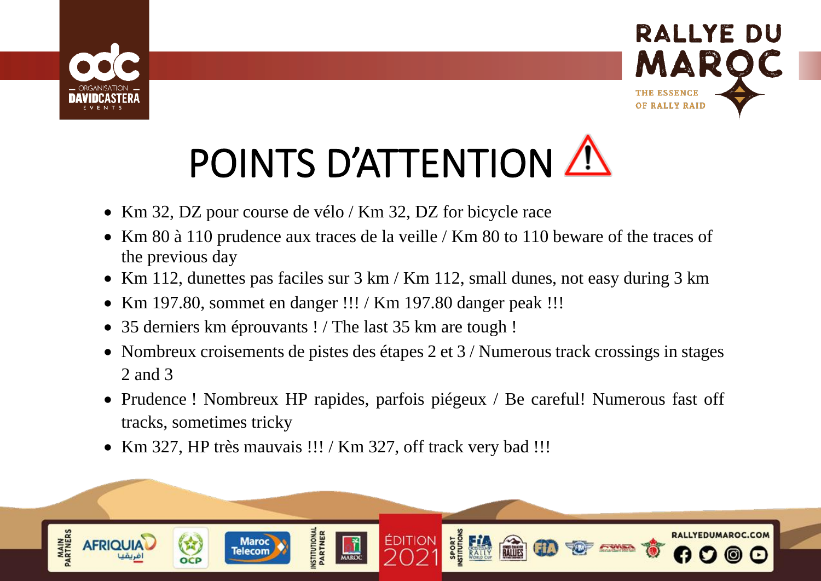



# POINTS D'ATTENTION A

- Km 32, DZ pour course de vélo / Km 32, DZ for bicycle race
- Km 80 à 110 prudence aux traces de la veille / Km 80 to 110 beware of the traces of the previous day
- Km 112, dunettes pas faciles sur 3 km / Km 112, small dunes, not easy during 3 km
- Km 197.80, sommet en danger !!! / Km 197.80 danger peak !!!
- 35 derniers km éprouvants ! / The last 35 km are tough !
- Nombreux croisements de pistes des étapes 2 et 3 / Numerous track crossings in stages 2 and 3
- Prudence ! Nombreux HP rapides, parfois piégeux / Be careful! Numerous fast off tracks, sometimes tricky
- Km 327, HP très mauvais !!! / Km 327, off track very bad !!!